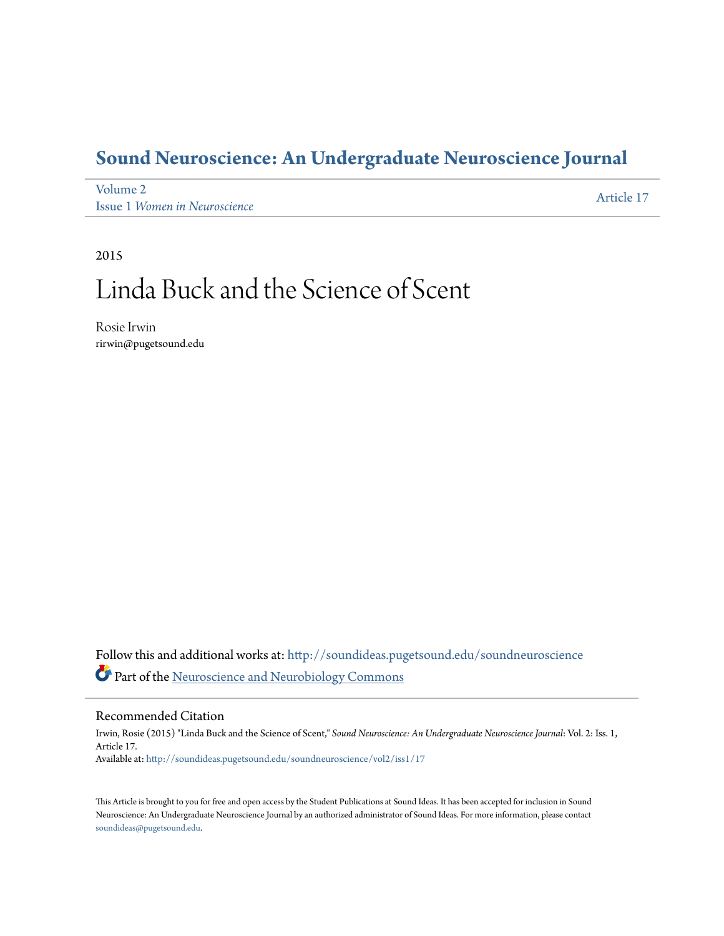## **[Sound Neuroscience: An Undergraduate Neuroscience Journal](http://soundideas.pugetsound.edu/soundneuroscience?utm_source=soundideas.pugetsound.edu%2Fsoundneuroscience%2Fvol2%2Fiss1%2F17&utm_medium=PDF&utm_campaign=PDFCoverPages)**

[Volume 2](http://soundideas.pugetsound.edu/soundneuroscience/vol2?utm_source=soundideas.pugetsound.edu%2Fsoundneuroscience%2Fvol2%2Fiss1%2F17&utm_medium=PDF&utm_campaign=PDFCoverPages) Issue 1 *[Women in Neuroscience](http://soundideas.pugetsound.edu/soundneuroscience/vol2/iss1?utm_source=soundideas.pugetsound.edu%2Fsoundneuroscience%2Fvol2%2Fiss1%2F17&utm_medium=PDF&utm_campaign=PDFCoverPages)* [Article 17](http://soundideas.pugetsound.edu/soundneuroscience/vol2/iss1/17?utm_source=soundideas.pugetsound.edu%2Fsoundneuroscience%2Fvol2%2Fiss1%2F17&utm_medium=PDF&utm_campaign=PDFCoverPages)

2015

# Linda Buck and the Science of Scent

Rosie Irwin rirwin@pugetsound.edu

Follow this and additional works at: [http://soundideas.pugetsound.edu/soundneuroscience](http://soundideas.pugetsound.edu/soundneuroscience?utm_source=soundideas.pugetsound.edu%2Fsoundneuroscience%2Fvol2%2Fiss1%2F17&utm_medium=PDF&utm_campaign=PDFCoverPages) Part of the [Neuroscience and Neurobiology Commons](http://network.bepress.com/hgg/discipline/55?utm_source=soundideas.pugetsound.edu%2Fsoundneuroscience%2Fvol2%2Fiss1%2F17&utm_medium=PDF&utm_campaign=PDFCoverPages)

#### Recommended Citation

Irwin, Rosie (2015) "Linda Buck and the Science of Scent," *Sound Neuroscience: An Undergraduate Neuroscience Journal*: Vol. 2: Iss. 1, Article 17. Available at: [http://soundideas.pugetsound.edu/soundneuroscience/vol2/iss1/17](http://soundideas.pugetsound.edu/soundneuroscience/vol2/iss1/17?utm_source=soundideas.pugetsound.edu%2Fsoundneuroscience%2Fvol2%2Fiss1%2F17&utm_medium=PDF&utm_campaign=PDFCoverPages)

This Article is brought to you for free and open access by the Student Publications at Sound Ideas. It has been accepted for inclusion in Sound Neuroscience: An Undergraduate Neuroscience Journal by an authorized administrator of Sound Ideas. For more information, please contact [soundideas@pugetsound.edu.](mailto:soundideas@pugetsound.edu)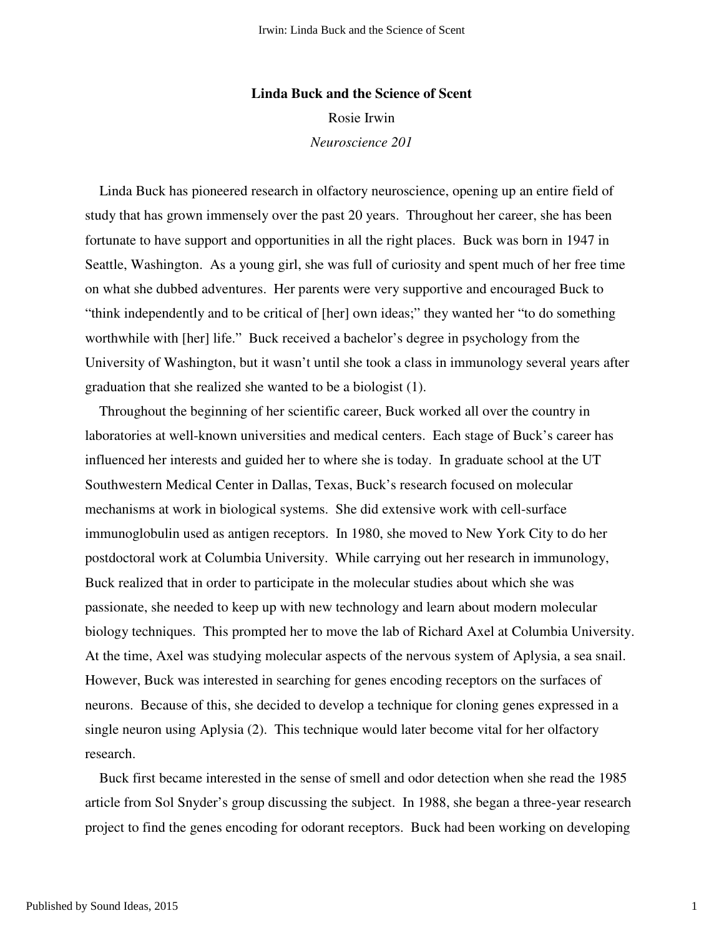## **Linda Buck and the Science of Scent** Rosie Irwin *Neuroscience 201*

 Linda Buck has pioneered research in olfactory neuroscience, opening up an entire field of study that has grown immensely over the past 20 years. Throughout her career, she has been fortunate to have support and opportunities in all the right places. Buck was born in 1947 in Seattle, Washington. As a young girl, she was full of curiosity and spent much of her free time on what she dubbed adventures. Her parents were very supportive and encouraged Buck to "think independently and to be critical of [her] own ideas;" they wanted her "to do something worthwhile with [her] life." Buck received a bachelor's degree in psychology from the University of Washington, but it wasn't until she took a class in immunology several years after graduation that she realized she wanted to be a biologist (1).

 Throughout the beginning of her scientific career, Buck worked all over the country in laboratories at well-known universities and medical centers. Each stage of Buck's career has influenced her interests and guided her to where she is today. In graduate school at the UT Southwestern Medical Center in Dallas, Texas, Buck's research focused on molecular mechanisms at work in biological systems. She did extensive work with cell-surface immunoglobulin used as antigen receptors. In 1980, she moved to New York City to do her postdoctoral work at Columbia University. While carrying out her research in immunology, Buck realized that in order to participate in the molecular studies about which she was passionate, she needed to keep up with new technology and learn about modern molecular biology techniques. This prompted her to move the lab of Richard Axel at Columbia University. At the time, Axel was studying molecular aspects of the nervous system of Aplysia, a sea snail. However, Buck was interested in searching for genes encoding receptors on the surfaces of neurons. Because of this, she decided to develop a technique for cloning genes expressed in a single neuron using Aplysia (2). This technique would later become vital for her olfactory research.

 Buck first became interested in the sense of smell and odor detection when she read the 1985 article from Sol Snyder's group discussing the subject. In 1988, she began a three-year research project to find the genes encoding for odorant receptors. Buck had been working on developing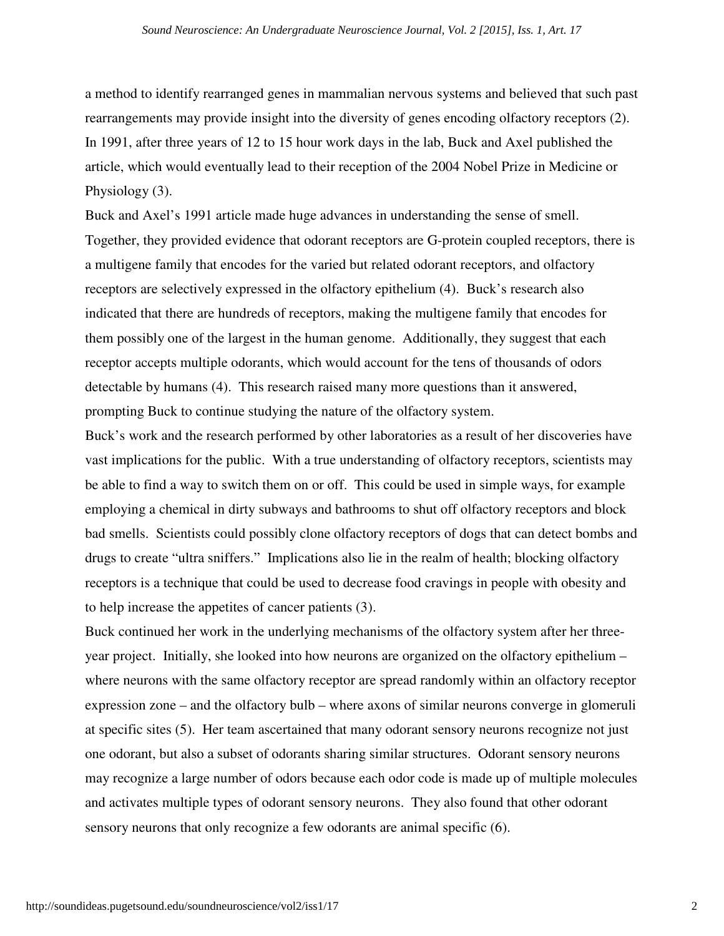a method to identify rearranged genes in mammalian nervous systems and believed that such past rearrangements may provide insight into the diversity of genes encoding olfactory receptors (2). In 1991, after three years of 12 to 15 hour work days in the lab, Buck and Axel published the article, which would eventually lead to their reception of the 2004 Nobel Prize in Medicine or Physiology (3).

Buck and Axel's 1991 article made huge advances in understanding the sense of smell. Together, they provided evidence that odorant receptors are G-protein coupled receptors, there is a multigene family that encodes for the varied but related odorant receptors, and olfactory receptors are selectively expressed in the olfactory epithelium (4). Buck's research also indicated that there are hundreds of receptors, making the multigene family that encodes for them possibly one of the largest in the human genome. Additionally, they suggest that each receptor accepts multiple odorants, which would account for the tens of thousands of odors detectable by humans (4). This research raised many more questions than it answered, prompting Buck to continue studying the nature of the olfactory system.

Buck's work and the research performed by other laboratories as a result of her discoveries have vast implications for the public. With a true understanding of olfactory receptors, scientists may be able to find a way to switch them on or off. This could be used in simple ways, for example employing a chemical in dirty subways and bathrooms to shut off olfactory receptors and block bad smells. Scientists could possibly clone olfactory receptors of dogs that can detect bombs and drugs to create "ultra sniffers." Implications also lie in the realm of health; blocking olfactory receptors is a technique that could be used to decrease food cravings in people with obesity and to help increase the appetites of cancer patients (3).

Buck continued her work in the underlying mechanisms of the olfactory system after her threeyear project. Initially, she looked into how neurons are organized on the olfactory epithelium – where neurons with the same olfactory receptor are spread randomly within an olfactory receptor expression zone – and the olfactory bulb – where axons of similar neurons converge in glomeruli at specific sites (5). Her team ascertained that many odorant sensory neurons recognize not just one odorant, but also a subset of odorants sharing similar structures. Odorant sensory neurons may recognize a large number of odors because each odor code is made up of multiple molecules and activates multiple types of odorant sensory neurons. They also found that other odorant sensory neurons that only recognize a few odorants are animal specific (6).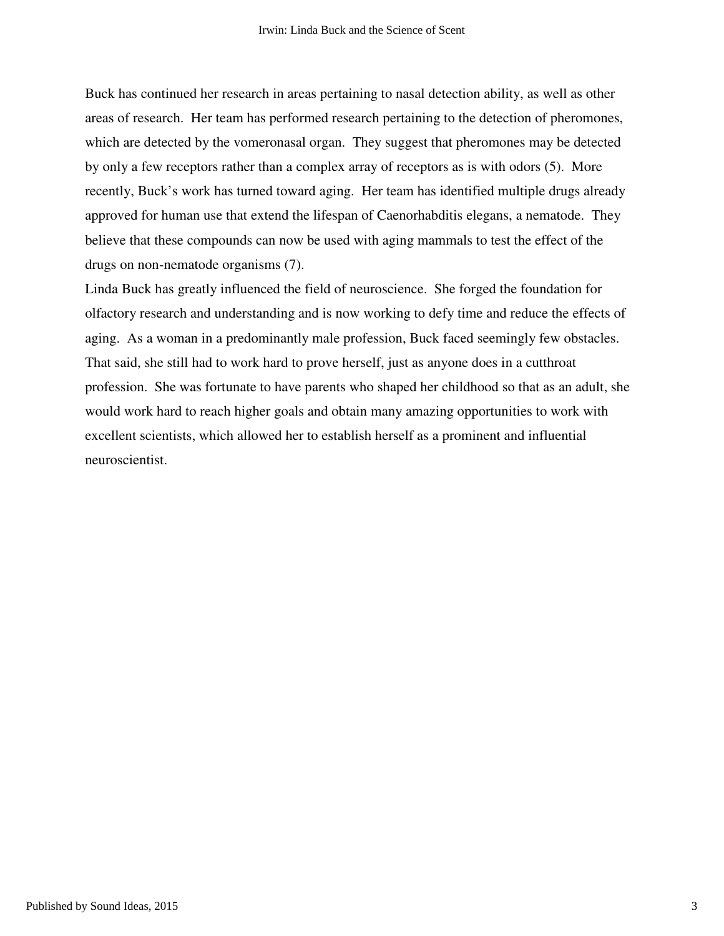Buck has continued her research in areas pertaining to nasal detection ability, as well as other areas of research. Her team has performed research pertaining to the detection of pheromones, which are detected by the vomeronasal organ. They suggest that pheromones may be detected by only a few receptors rather than a complex array of receptors as is with odors (5). More recently, Buck's work has turned toward aging. Her team has identified multiple drugs already approved for human use that extend the lifespan of Caenorhabditis elegans, a nematode. They believe that these compounds can now be used with aging mammals to test the effect of the drugs on non-nematode organisms (7).

Linda Buck has greatly influenced the field of neuroscience. She forged the foundation for olfactory research and understanding and is now working to defy time and reduce the effects of aging. As a woman in a predominantly male profession, Buck faced seemingly few obstacles. That said, she still had to work hard to prove herself, just as anyone does in a cutthroat profession. She was fortunate to have parents who shaped her childhood so that as an adult, she would work hard to reach higher goals and obtain many amazing opportunities to work with excellent scientists, which allowed her to establish herself as a prominent and influential neuroscientist.